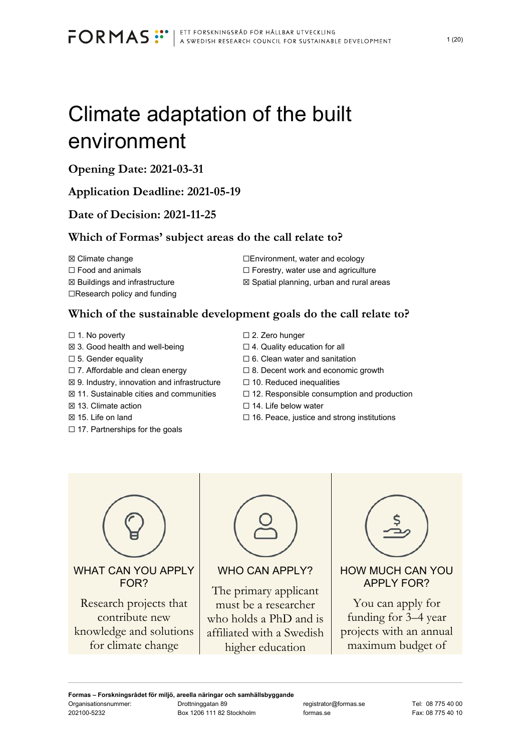# Climate adaptation of the built environment

# **Opening Date: 2021-03-31**

# **Application Deadline: 2021-05-19**

# **Date of Decision: 2021-11-25**

# **Which of Formas' subject areas do the call relate to?**

**⊠** Buildings and infrastructure **<u>■</u> Spatial planning, urban and rural areas** ☐Research policy and funding

**⊠ Climate change □Environment, water and ecology** ☐ Food and animals ☐ Forestry, water use and agriculture

# **Which of the sustainable development goals do the call relate to?**

- 
- ☒ 3. Good health and well-being ☐ 4. Quality education for all
- 
- ☐ 7. Affordable and clean energy ☐ 8. Decent work and economic growth
- **⊠** 9. Industry, innovation and infrastructure □ 10. Reduced inequalities
- 
- 
- 
- □ 17. Partnerships for the goals
- ☐ 1. No poverty ☐ 2. Zero hunger
	-
- $\Box$  5. Gender equality  $\Box$  6. Clean water and sanitation
	-
	-
- ☒ 11. Sustainable cities and communities ☐ 12. Responsible consumption and production
- **⊠** 13. Climate action **□** 14. Life below water
- $\boxtimes$  15. Life on land  $\Box$  16. Peace, justice and strong institutions



contribute new knowledge and solutions for climate change



WHO CAN APPLY?

The primary applicant must be a researcher who holds a PhD and is affiliated with a Swedish higher education



APPLY FOR?

You can apply for funding for 3–4 year projects with an annual maximum budget of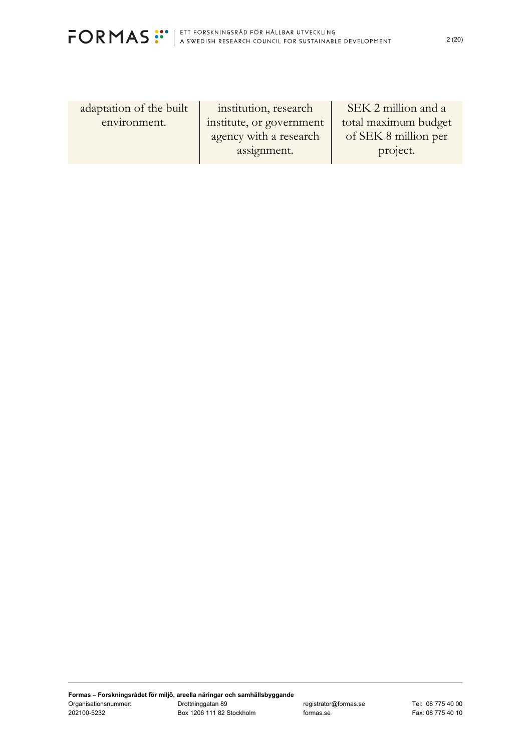

adaptation of the built environment.

institution, research institute, or government agency with a research assignment.

SEK 2 million and a total maximum budget of SEK 8 million per project.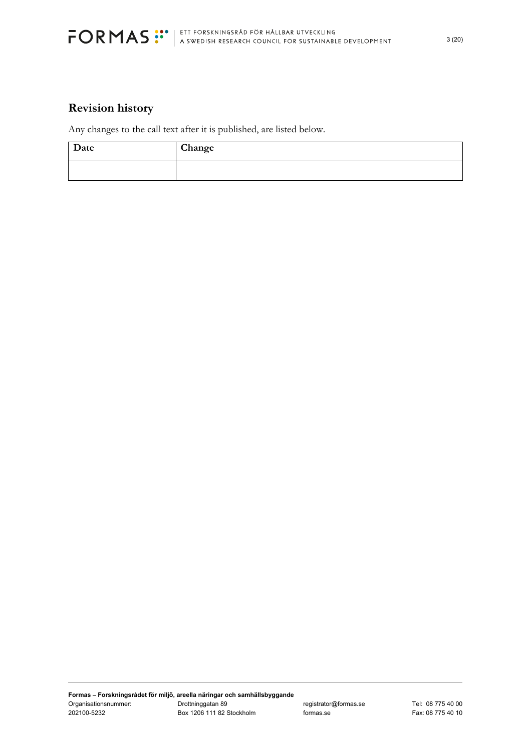

# **Revision history**

Any changes to the call text after it is published, are listed below.

| Date | Change |
|------|--------|
|      |        |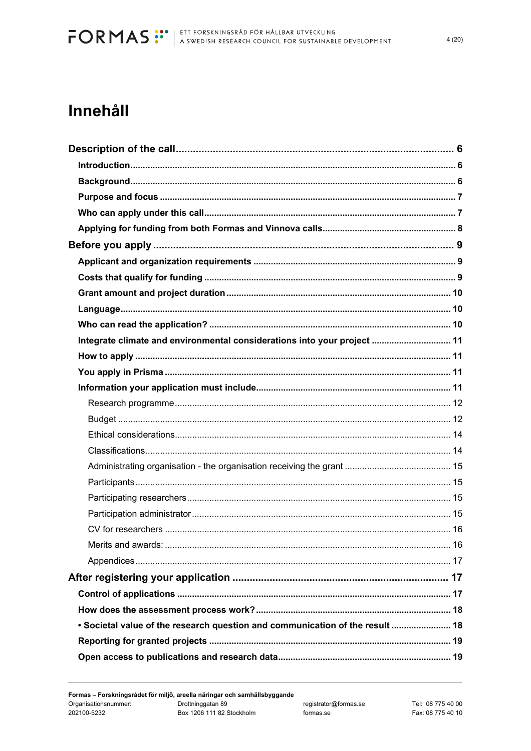# Innehåll

| Integrate climate and environmental considerations into your project  11      |  |
|-------------------------------------------------------------------------------|--|
|                                                                               |  |
|                                                                               |  |
|                                                                               |  |
|                                                                               |  |
|                                                                               |  |
|                                                                               |  |
|                                                                               |  |
|                                                                               |  |
|                                                                               |  |
|                                                                               |  |
|                                                                               |  |
|                                                                               |  |
|                                                                               |  |
|                                                                               |  |
|                                                                               |  |
|                                                                               |  |
|                                                                               |  |
| • Societal value of the research question and communication of the result  18 |  |
|                                                                               |  |
|                                                                               |  |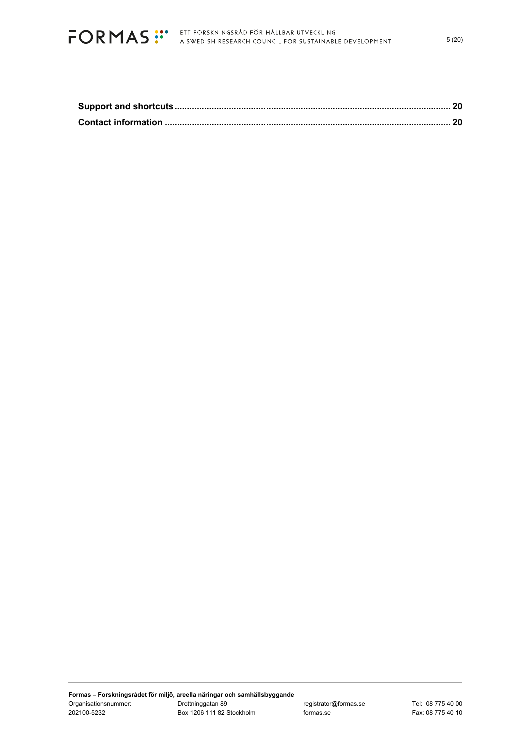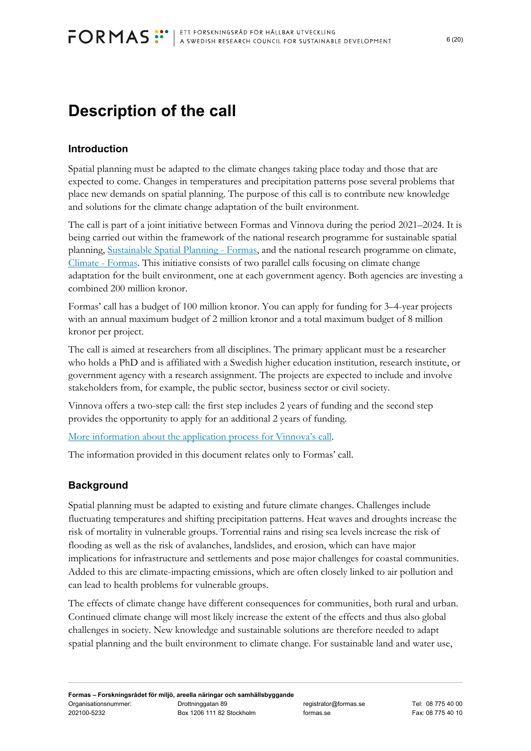# **Description of the call**

# **Introduction**

Spatial planning must be adapted to the climate changes taking place today and those that are expected to come. Changes in temperatures and precipitation patterns pose several problems that place new demands on spatial planning. The purpose of this call is to contribute new knowledge and solutions for the climate change adaptation of the built environment.

The call is part of a joint initiative between Formas and Vinnova during the period 2021–2024. It is being carried out within the framework of the national research programme for sustainable spatial planning, Sustainable Spatial Planning - Formas, and the national research programme on climate, Climate - Formas. This initiative consists of two parallel calls focusing on climate change adaptation for the built environment, one at each government agency. Both agencies are investing a combined 200 million kronor.

Formas' call has a budget of 100 million kronor. You can apply for funding for 3–4-year projects with an annual maximum budget of 2 million kronor and a total maximum budget of 8 million kronor per project.

The call is aimed at researchers from all disciplines. The primary applicant must be a researcher who holds a PhD and is affiliated with a Swedish higher education institution, research institute, or government agency with a research assignment. The projects are expected to include and involve stakeholders from, for example, the public sector, business sector or civil society.

Vinnova offers a two-step call: the first step includes 2 years of funding and the second step provides the opportunity to apply for an additional 2 years of funding.

More information about the application process for Vinnova's call.

The information provided in this document relates only to Formas' call.

# **Background**

Spatial planning must be adapted to existing and future climate changes. Challenges include fluctuating temperatures and shifting precipitation patterns. Heat waves and droughts increase the risk of mortality in vulnerable groups. Torrential rains and rising sea levels increase the risk of flooding as well as the risk of avalanches, landslides, and erosion, which can have major implications for infrastructure and settlements and pose major challenges for coastal communities. Added to this are climate-impacting emissions, which are often closely linked to air pollution and can lead to health problems for vulnerable groups.

The effects of climate change have different consequences for communities, both rural and urban. Continued climate change will most likely increase the extent of the effects and thus also global challenges in society. New knowledge and sustainable solutions are therefore needed to adapt spatial planning and the built environment to climate change. For sustainable land and water use,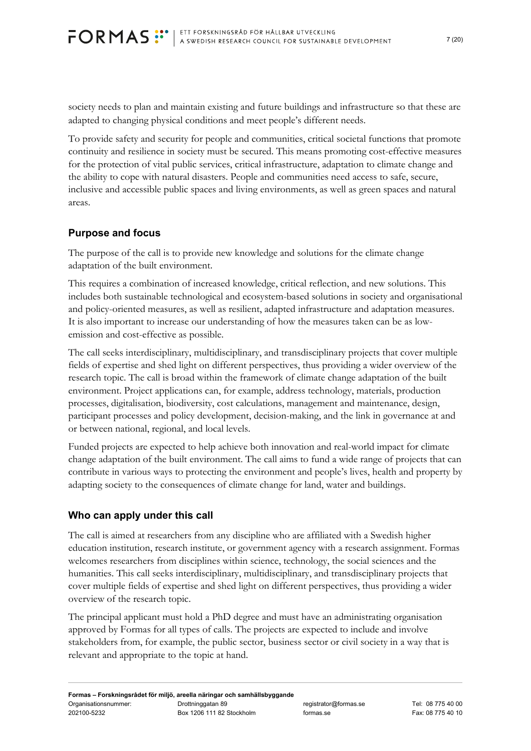society needs to plan and maintain existing and future buildings and infrastructure so that these are adapted to changing physical conditions and meet people's different needs.

To provide safety and security for people and communities, critical societal functions that promote continuity and resilience in society must be secured. This means promoting cost-effective measures for the protection of vital public services, critical infrastructure, adaptation to climate change and the ability to cope with natural disasters. People and communities need access to safe, secure, inclusive and accessible public spaces and living environments, as well as green spaces and natural areas.

# **Purpose and focus**

The purpose of the call is to provide new knowledge and solutions for the climate change adaptation of the built environment.

This requires a combination of increased knowledge, critical reflection, and new solutions. This includes both sustainable technological and ecosystem-based solutions in society and organisational and policy-oriented measures, as well as resilient, adapted infrastructure and adaptation measures. It is also important to increase our understanding of how the measures taken can be as lowemission and cost-effective as possible.

The call seeks interdisciplinary, multidisciplinary, and transdisciplinary projects that cover multiple fields of expertise and shed light on different perspectives, thus providing a wider overview of the research topic. The call is broad within the framework of climate change adaptation of the built environment. Project applications can, for example, address technology, materials, production processes, digitalisation, biodiversity, cost calculations, management and maintenance, design, participant processes and policy development, decision-making, and the link in governance at and or between national, regional, and local levels.

Funded projects are expected to help achieve both innovation and real-world impact for climate change adaptation of the built environment. The call aims to fund a wide range of projects that can contribute in various ways to protecting the environment and people's lives, health and property by adapting society to the consequences of climate change for land, water and buildings.

# **Who can apply under this call**

The call is aimed at researchers from any discipline who are affiliated with a Swedish higher education institution, research institute, or government agency with a research assignment. Formas welcomes researchers from disciplines within science, technology, the social sciences and the humanities. This call seeks interdisciplinary, multidisciplinary, and transdisciplinary projects that cover multiple fields of expertise and shed light on different perspectives, thus providing a wider overview of the research topic.

The principal applicant must hold a PhD degree and must have an administrating organisation approved by Formas for all types of calls. The projects are expected to include and involve stakeholders from, for example, the public sector, business sector or civil society in a way that is relevant and appropriate to the topic at hand.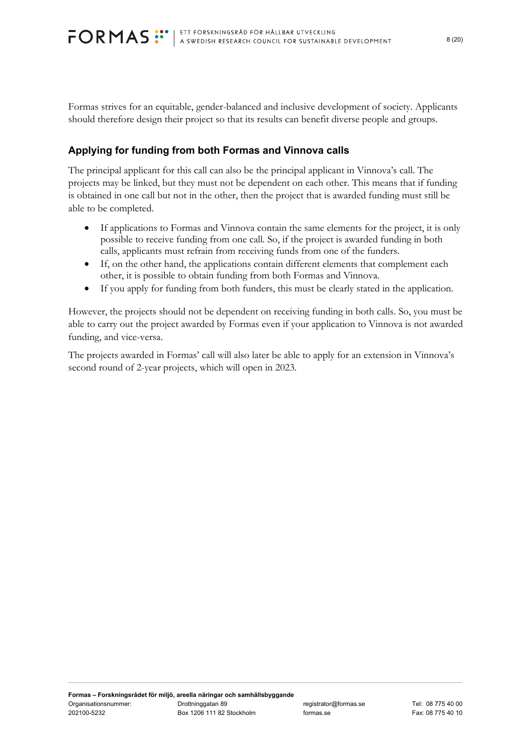Formas strives for an equitable, gender-balanced and inclusive development of society. Applicants should therefore design their project so that its results can benefit diverse people and groups.

# **Applying for funding from both Formas and Vinnova calls**

The principal applicant for this call can also be the principal applicant in Vinnova's call. The projects may be linked, but they must not be dependent on each other. This means that if funding is obtained in one call but not in the other, then the project that is awarded funding must still be able to be completed.

- If applications to Formas and Vinnova contain the same elements for the project, it is only possible to receive funding from one call. So, if the project is awarded funding in both calls, applicants must refrain from receiving funds from one of the funders.
- If, on the other hand, the applications contain different elements that complement each other, it is possible to obtain funding from both Formas and Vinnova.
- If you apply for funding from both funders, this must be clearly stated in the application.

However, the projects should not be dependent on receiving funding in both calls. So, you must be able to carry out the project awarded by Formas even if your application to Vinnova is not awarded funding, and vice-versa.

The projects awarded in Formas' call will also later be able to apply for an extension in Vinnova's second round of 2-year projects, which will open in 2023.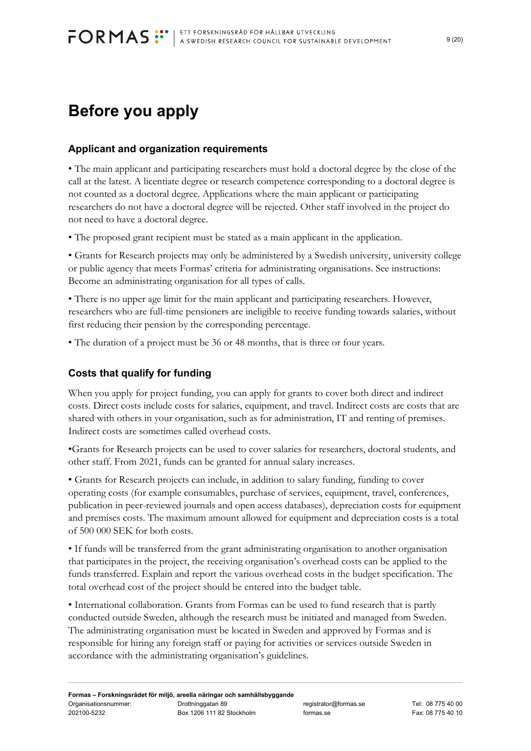# **Before you apply**

# **Applicant and organization requirements**

• The main applicant and participating researchers must hold a doctoral degree by the close of the call at the latest. A licentiate degree or research competence corresponding to a doctoral degree is not counted as a doctoral degree. Applications where the main applicant or participating researchers do not have a doctoral degree will be rejected. Other staff involved in the project do not need to have a doctoral degree.

• The proposed grant recipient must be stated as a main applicant in the application.

• Grants for Research projects may only be administered by a Swedish university, university college or public agency that meets Formas' criteria for administrating organisations. See instructions: Become an administrating organisation for all types of calls.

• There is no upper age limit for the main applicant and participating researchers. However, researchers who are full-time pensioners are ineligible to receive funding towards salaries, without first reducing their pension by the corresponding percentage.

• The duration of a project must be 36 or 48 months, that is three or four years.

# **Costs that qualify for funding**

When you apply for project funding, you can apply for grants to cover both direct and indirect costs. Direct costs include costs for salaries, equipment, and travel. Indirect costs are costs that are shared with others in your organisation, such as for administration, IT and renting of premises. Indirect costs are sometimes called overhead costs.

•Grants for Research projects can be used to cover salaries for researchers, doctoral students, and other staff. From 2021, funds can be granted for annual salary increases.

• Grants for Research projects can include, in addition to salary funding, funding to cover operating costs (for example consumables, purchase of services, equipment, travel, conferences, publication in peer-reviewed journals and open access databases), depreciation costs for equipment and premises costs. The maximum amount allowed for equipment and depreciation costs is a total of 500 000 SEK for both costs.

• If funds will be transferred from the grant administrating organisation to another organisation that participates in the project, the receiving organisation's overhead costs can be applied to the funds transferred. Explain and report the various overhead costs in the budget specification. The total overhead cost of the project should be entered into the budget table.

• International collaboration. Grants from Formas can be used to fund research that is partly conducted outside Sweden, although the research must be initiated and managed from Sweden. The administrating organisation must be located in Sweden and approved by Formas and is responsible for hiring any foreign staff or paying for activities or services outside Sweden in accordance with the administrating organisation's guidelines.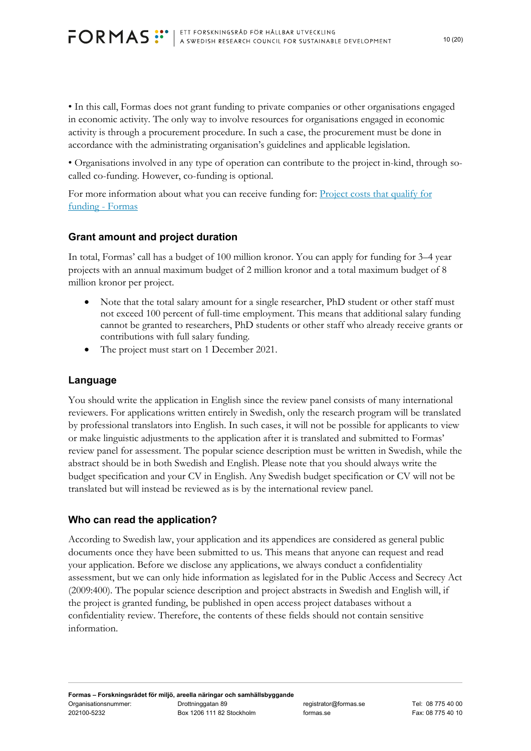• In this call, Formas does not grant funding to private companies or other organisations engaged in economic activity. The only way to involve resources for organisations engaged in economic activity is through a procurement procedure. In such a case, the procurement must be done in accordance with the administrating organisation's guidelines and applicable legislation.

• Organisations involved in any type of operation can contribute to the project in-kind, through socalled co-funding. However, co-funding is optional.

For more information about what you can receive funding for: Project costs that qualify for funding - Formas

# **Grant amount and project duration**

In total, Formas' call has a budget of 100 million kronor. You can apply for funding for 3–4 year projects with an annual maximum budget of 2 million kronor and a total maximum budget of 8 million kronor per project.

- Note that the total salary amount for a single researcher, PhD student or other staff must not exceed 100 percent of full-time employment. This means that additional salary funding cannot be granted to researchers, PhD students or other staff who already receive grants or contributions with full salary funding.
- The project must start on 1 December 2021.

### **Language**

You should write the application in English since the review panel consists of many international reviewers. For applications written entirely in Swedish, only the research program will be translated by professional translators into English. In such cases, it will not be possible for applicants to view or make linguistic adjustments to the application after it is translated and submitted to Formas' review panel for assessment. The popular science description must be written in Swedish, while the abstract should be in both Swedish and English. Please note that you should always write the budget specification and your CV in English. Any Swedish budget specification or CV will not be translated but will instead be reviewed as is by the international review panel.

# **Who can read the application?**

According to Swedish law, your application and its appendices are considered as general public documents once they have been submitted to us. This means that anyone can request and read your application. Before we disclose any applications, we always conduct a confidentiality assessment, but we can only hide information as legislated for in the Public Access and Secrecy Act (2009:400). The popular science description and project abstracts in Swedish and English will, if the project is granted funding, be published in open access project databases without a confidentiality review. Therefore, the contents of these fields should not contain sensitive information.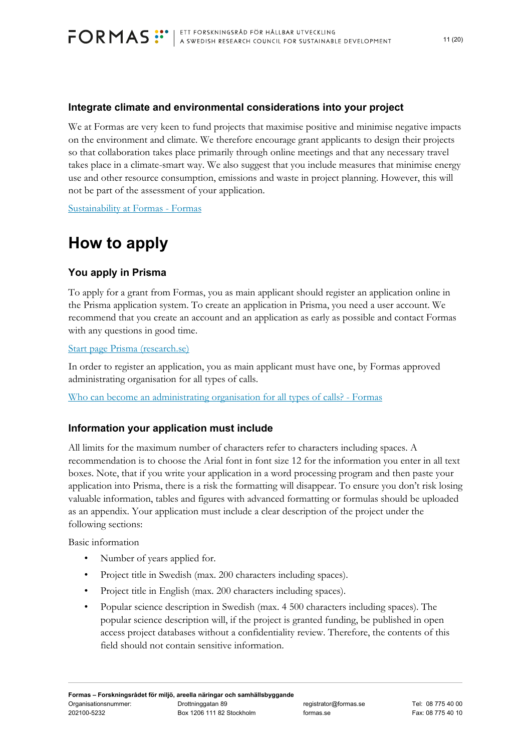

#### **Integrate climate and environmental considerations into your project**

We at Formas are very keen to fund projects that maximise positive and minimise negative impacts on the environment and climate. We therefore encourage grant applicants to design their projects so that collaboration takes place primarily through online meetings and that any necessary travel takes place in a climate-smart way. We also suggest that you include measures that minimise energy use and other resource consumption, emissions and waste in project planning. However, this will not be part of the assessment of your application.

Sustainability at Formas - Formas

# **How to apply**

### **You apply in Prisma**

To apply for a grant from Formas, you as main applicant should register an application online in the Prisma application system. To create an application in Prisma, you need a user account. We recommend that you create an account and an application as early as possible and contact Formas with any questions in good time.

#### Start page Prisma (research.se)

In order to register an application, you as main applicant must have one, by Formas approved administrating organisation for all types of calls.

Who can become an administrating organisation for all types of calls? - Formas

#### **Information your application must include**

All limits for the maximum number of characters refer to characters including spaces. A recommendation is to choose the Arial font in font size 12 for the information you enter in all text boxes. Note, that if you write your application in a word processing program and then paste your application into Prisma, there is a risk the formatting will disappear. To ensure you don't risk losing valuable information, tables and figures with advanced formatting or formulas should be uploaded as an appendix. Your application must include a clear description of the project under the following sections:

Basic information

- Number of years applied for.
- Project title in Swedish (max. 200 characters including spaces).
- Project title in English (max. 200 characters including spaces).
- Popular science description in Swedish (max. 4 500 characters including spaces). The popular science description will, if the project is granted funding, be published in open access project databases without a confidentiality review. Therefore, the contents of this field should not contain sensitive information.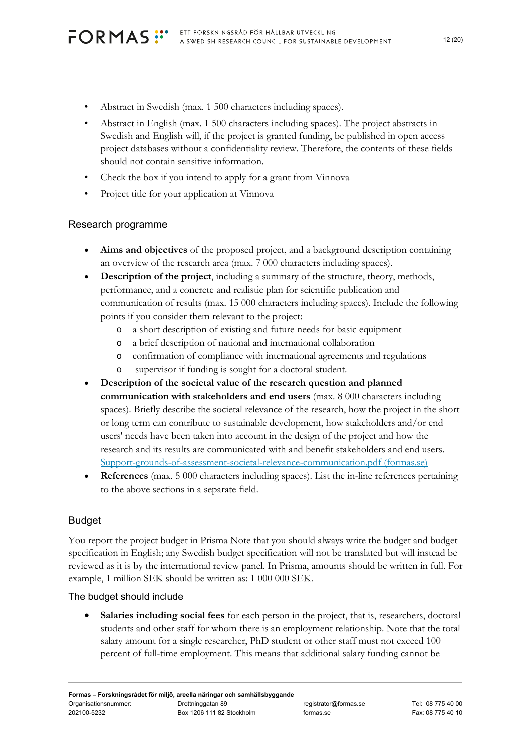- Abstract in Swedish (max. 1 500 characters including spaces).
- Abstract in English (max. 1 500 characters including spaces). The project abstracts in Swedish and English will, if the project is granted funding, be published in open access project databases without a confidentiality review. Therefore, the contents of these fields should not contain sensitive information.
- Check the box if you intend to apply for a grant from Vinnova
- Project title for your application at Vinnova

### Research programme

- **Aims and objectives** of the proposed project, and a background description containing an overview of the research area (max. 7 000 characters including spaces).
- **Description of the project**, including a summary of the structure, theory, methods, performance, and a concrete and realistic plan for scientific publication and communication of results (max. 15 000 characters including spaces). Include the following points if you consider them relevant to the project:
	- a short description of existing and future needs for basic equipment
	- o a brief description of national and international collaboration
	- o confirmation of compliance with international agreements and regulations
	- o supervisor if funding is sought for a doctoral student.
- **Description of the societal value of the research question and planned communication with stakeholders and end users** (max. 8 000 characters including spaces). Briefly describe the societal relevance of the research, how the project in the short or long term can contribute to sustainable development, how stakeholders and/or end users' needs have been taken into account in the design of the project and how the research and its results are communicated with and benefit stakeholders and end users. Support-grounds-of-assessment-societal-relevance-communication.pdf (formas.se)
- **References** (max. 5 000 characters including spaces). List the in-line references pertaining to the above sections in a separate field.

#### Budget

You report the project budget in Prisma Note that you should always write the budget and budget specification in English; any Swedish budget specification will not be translated but will instead be reviewed as it is by the international review panel. In Prisma, amounts should be written in full. For example, 1 million SEK should be written as: 1 000 000 SEK.

# The budget should include

 **Salaries including social fees** for each person in the project, that is, researchers, doctoral students and other staff for whom there is an employment relationship. Note that the total salary amount for a single researcher, PhD student or other staff must not exceed 100 percent of full-time employment. This means that additional salary funding cannot be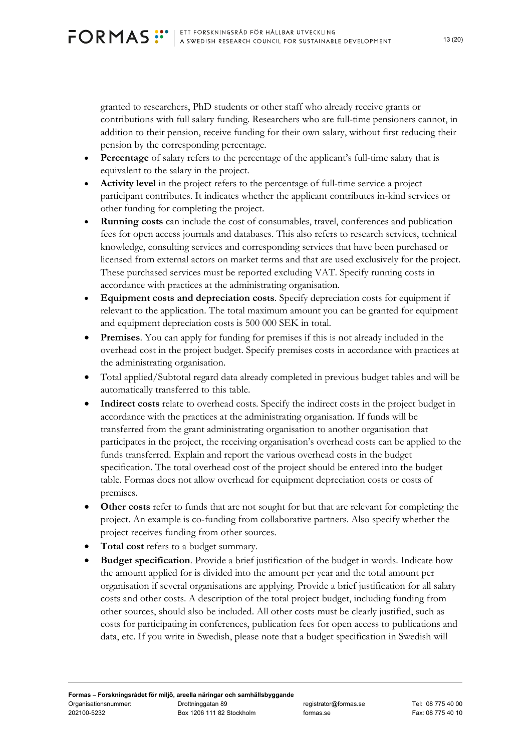granted to researchers, PhD students or other staff who already receive grants or contributions with full salary funding. Researchers who are full-time pensioners cannot, in addition to their pension, receive funding for their own salary, without first reducing their pension by the corresponding percentage.

- **Percentage** of salary refers to the percentage of the applicant's full-time salary that is equivalent to the salary in the project.
- **Activity level** in the project refers to the percentage of full-time service a project participant contributes. It indicates whether the applicant contributes in-kind services or other funding for completing the project.
- **Running costs** can include the cost of consumables, travel, conferences and publication fees for open access journals and databases. This also refers to research services, technical knowledge, consulting services and corresponding services that have been purchased or licensed from external actors on market terms and that are used exclusively for the project. These purchased services must be reported excluding VAT. Specify running costs in accordance with practices at the administrating organisation.
- **Equipment costs and depreciation costs**. Specify depreciation costs for equipment if relevant to the application. The total maximum amount you can be granted for equipment and equipment depreciation costs is 500 000 SEK in total.
- **Premises**. You can apply for funding for premises if this is not already included in the overhead cost in the project budget. Specify premises costs in accordance with practices at the administrating organisation.
- Total applied/Subtotal regard data already completed in previous budget tables and will be automatically transferred to this table.
- **Indirect costs** relate to overhead costs. Specify the indirect costs in the project budget in accordance with the practices at the administrating organisation. If funds will be transferred from the grant administrating organisation to another organisation that participates in the project, the receiving organisation's overhead costs can be applied to the funds transferred. Explain and report the various overhead costs in the budget specification. The total overhead cost of the project should be entered into the budget table. Formas does not allow overhead for equipment depreciation costs or costs of premises.
- **Other costs** refer to funds that are not sought for but that are relevant for completing the project. An example is co-funding from collaborative partners. Also specify whether the project receives funding from other sources.
- **Total cost** refers to a budget summary.
- **Budget specification**. Provide a brief justification of the budget in words. Indicate how the amount applied for is divided into the amount per year and the total amount per organisation if several organisations are applying. Provide a brief justification for all salary costs and other costs. A description of the total project budget, including funding from other sources, should also be included. All other costs must be clearly justified, such as costs for participating in conferences, publication fees for open access to publications and data, etc. If you write in Swedish, please note that a budget specification in Swedish will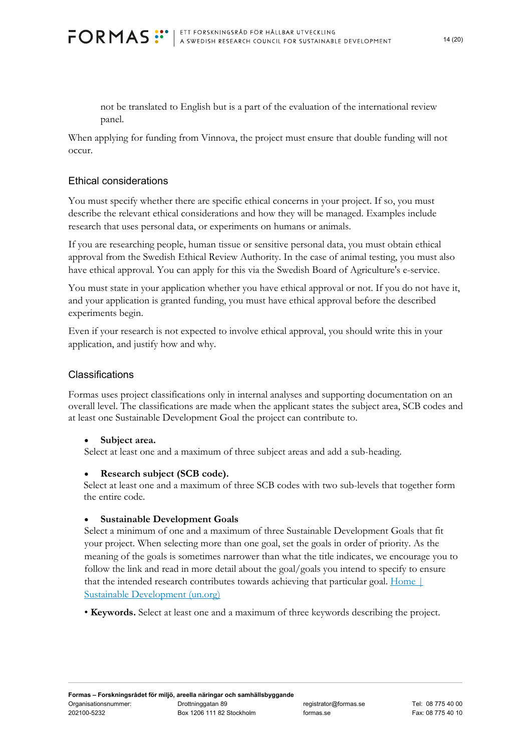not be translated to English but is a part of the evaluation of the international review panel.

When applying for funding from Vinnova, the project must ensure that double funding will not occur.

# Ethical considerations

You must specify whether there are specific ethical concerns in your project. If so, you must describe the relevant ethical considerations and how they will be managed. Examples include research that uses personal data, or experiments on humans or animals.

If you are researching people, human tissue or sensitive personal data, you must obtain ethical approval from the Swedish Ethical Review Authority. In the case of animal testing, you must also have ethical approval. You can apply for this via the Swedish Board of Agriculture's e-service.

You must state in your application whether you have ethical approval or not. If you do not have it, and your application is granted funding, you must have ethical approval before the described experiments begin.

Even if your research is not expected to involve ethical approval, you should write this in your application, and justify how and why.

#### Classifications

Formas uses project classifications only in internal analyses and supporting documentation on an overall level. The classifications are made when the applicant states the subject area, SCB codes and at least one Sustainable Development Goal the project can contribute to.

#### **Subject area.**

Select at least one and a maximum of three subject areas and add a sub-heading.

#### **Research subject (SCB code).**

Select at least one and a maximum of three SCB codes with two sub-levels that together form the entire code.

#### **Sustainable Development Goals**

Select a minimum of one and a maximum of three Sustainable Development Goals that fit your project. When selecting more than one goal, set the goals in order of priority. As the meaning of the goals is sometimes narrower than what the title indicates, we encourage you to follow the link and read in more detail about the goal/goals you intend to specify to ensure that the intended research contributes towards achieving that particular goal. Home | Sustainable Development (un.org)

• **Keywords.** Select at least one and a maximum of three keywords describing the project.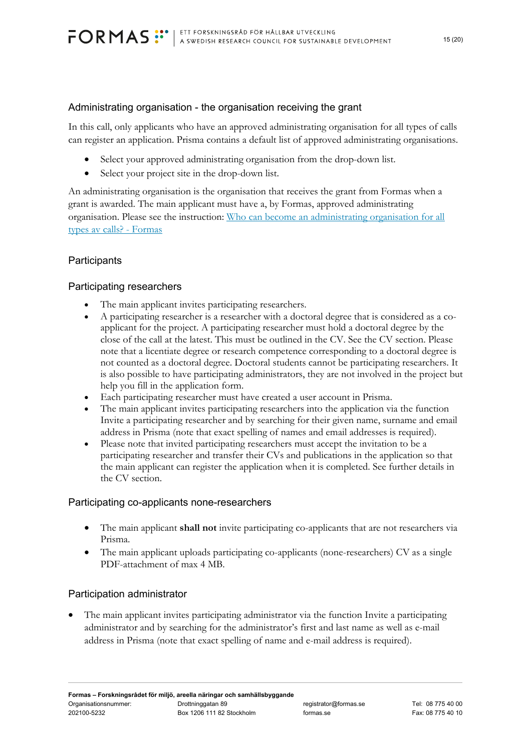### Administrating organisation - the organisation receiving the grant

In this call, only applicants who have an approved administrating organisation for all types of calls can register an application. Prisma contains a default list of approved administrating organisations.

- Select your approved administrating organisation from the drop-down list.
- Select your project site in the drop-down list.

An administrating organisation is the organisation that receives the grant from Formas when a grant is awarded. The main applicant must have a, by Formas, approved administrating organisation. Please see the instruction: Who can become an administrating organisation for all types av calls? - Formas

# **Participants**

### Participating researchers

- The main applicant invites participating researchers.
- A participating researcher is a researcher with a doctoral degree that is considered as a coapplicant for the project. A participating researcher must hold a doctoral degree by the close of the call at the latest. This must be outlined in the CV. See the CV section. Please note that a licentiate degree or research competence corresponding to a doctoral degree is not counted as a doctoral degree. Doctoral students cannot be participating researchers. It is also possible to have participating administrators, they are not involved in the project but help you fill in the application form.
- Each participating researcher must have created a user account in Prisma.
- The main applicant invites participating researchers into the application via the function Invite a participating researcher and by searching for their given name, surname and email address in Prisma (note that exact spelling of names and email addresses is required).
- Please note that invited participating researchers must accept the invitation to be a participating researcher and transfer their CVs and publications in the application so that the main applicant can register the application when it is completed. See further details in the CV section.

#### Participating co-applicants none-researchers

- The main applicant **shall not** invite participating co-applicants that are not researchers via Prisma.
- The main applicant uploads participating co-applicants (none-researchers) CV as a single PDF-attachment of max 4 MB.

#### Participation administrator

 The main applicant invites participating administrator via the function Invite a participating administrator and by searching for the administrator's first and last name as well as e-mail address in Prisma (note that exact spelling of name and e-mail address is required).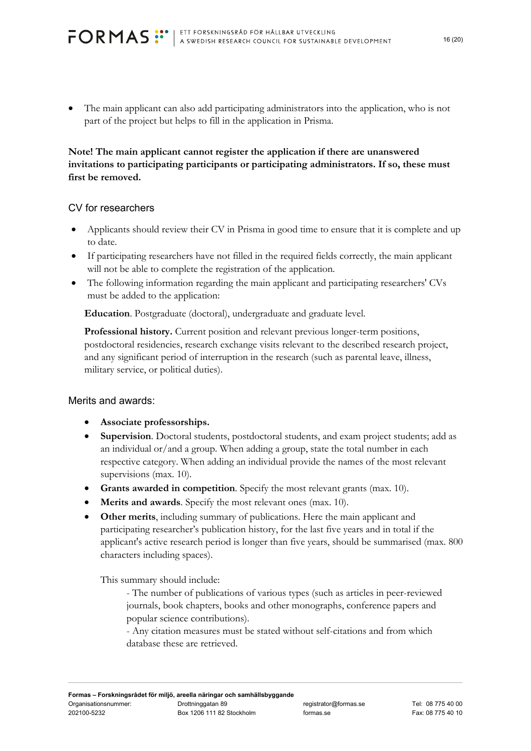The main applicant can also add participating administrators into the application, who is not part of the project but helps to fill in the application in Prisma.

# **Note! The main applicant cannot register the application if there are unanswered invitations to participating participants or participating administrators. If so, these must first be removed.**

### CV for researchers

- Applicants should review their CV in Prisma in good time to ensure that it is complete and up to date.
- If participating researchers have not filled in the required fields correctly, the main applicant will not be able to complete the registration of the application.
- The following information regarding the main applicant and participating researchers' CVs must be added to the application:

**Education**. Postgraduate (doctoral), undergraduate and graduate level.

**Professional history.** Current position and relevant previous longer-term positions, postdoctoral residencies, research exchange visits relevant to the described research project, and any significant period of interruption in the research (such as parental leave, illness, military service, or political duties).

# Merits and awards:

- **Associate professorships.**
- **Supervision**. Doctoral students, postdoctoral students, and exam project students; add as an individual or/and a group. When adding a group, state the total number in each respective category. When adding an individual provide the names of the most relevant supervisions (max. 10).
- **Grants awarded in competition**. Specify the most relevant grants (max. 10).
- **Merits and awards**. Specify the most relevant ones (max. 10).
- **Other merits**, including summary of publications. Here the main applicant and participating researcher's publication history, for the last five years and in total if the applicant's active research period is longer than five years, should be summarised (max. 800 characters including spaces).

This summary should include:

- The number of publications of various types (such as articles in peer-reviewed journals, book chapters, books and other monographs, conference papers and popular science contributions).

- Any citation measures must be stated without self-citations and from which database these are retrieved.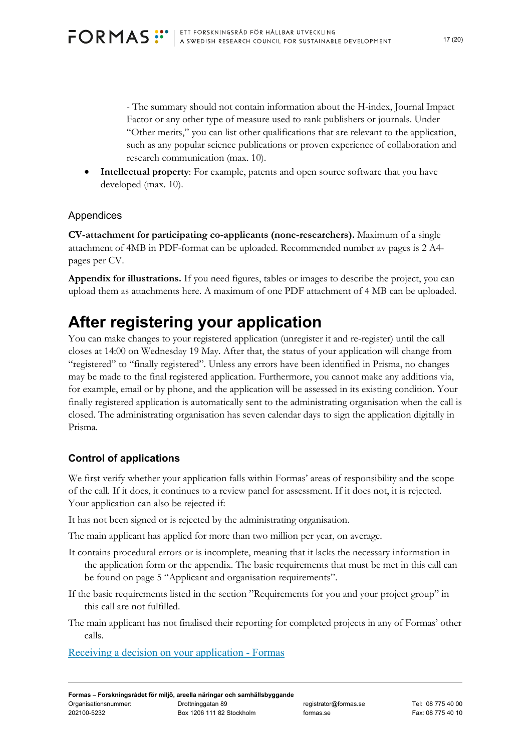- The summary should not contain information about the H-index, Journal Impact Factor or any other type of measure used to rank publishers or journals. Under "Other merits," you can list other qualifications that are relevant to the application, such as any popular science publications or proven experience of collaboration and research communication (max. 10).

 **Intellectual property**: For example, patents and open source software that you have developed (max. 10).

# Appendices

**CV-attachment for participating co-applicants (none-researchers).** Maximum of a single attachment of 4MB in PDF-format can be uploaded. Recommended number av pages is 2 A4 pages per CV.

**Appendix for illustrations.** If you need figures, tables or images to describe the project, you can upload them as attachments here. A maximum of one PDF attachment of 4 MB can be uploaded.

# **After registering your application**

You can make changes to your registered application (unregister it and re-register) until the call closes at 14:00 on Wednesday 19 May. After that, the status of your application will change from "registered" to "finally registered". Unless any errors have been identified in Prisma, no changes may be made to the final registered application. Furthermore, you cannot make any additions via, for example, email or by phone, and the application will be assessed in its existing condition. Your finally registered application is automatically sent to the administrating organisation when the call is closed. The administrating organisation has seven calendar days to sign the application digitally in Prisma.

# **Control of applications**

We first verify whether your application falls within Formas' areas of responsibility and the scope of the call. If it does, it continues to a review panel for assessment. If it does not, it is rejected. Your application can also be rejected if:

It has not been signed or is rejected by the administrating organisation.

The main applicant has applied for more than two million per year, on average.

- It contains procedural errors or is incomplete, meaning that it lacks the necessary information in the application form or the appendix. The basic requirements that must be met in this call can be found on page 5 "Applicant and organisation requirements".
- If the basic requirements listed in the section "Requirements for you and your project group" in this call are not fulfilled.
- The main applicant has not finalised their reporting for completed projects in any of Formas' other calls.

Receiving a decision on your application - Formas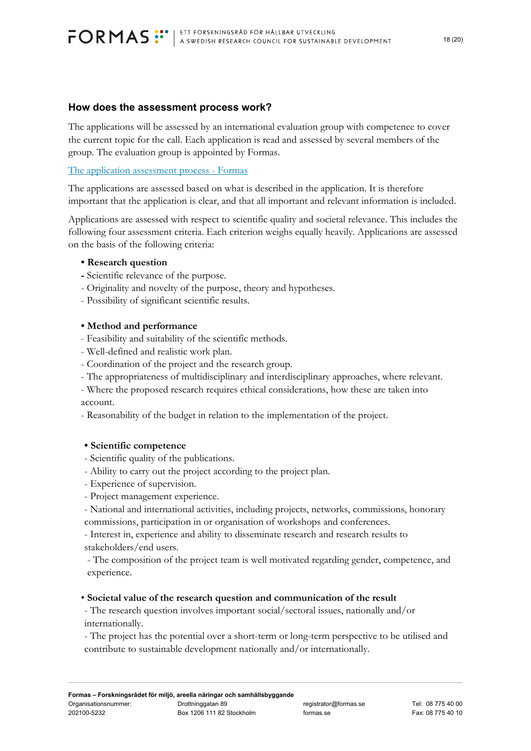#### **How does the assessment process work?**

The applications will be assessed by an international evaluation group with competence to cover the current topic for the call. Each application is read and assessed by several members of the group. The evaluation group is appointed by Formas.

#### The application assessment process - Formas

The applications are assessed based on what is described in the application. It is therefore important that the application is clear, and that all important and relevant information is included.

Applications are assessed with respect to scientific quality and societal relevance. This includes the following four assessment criteria. Each criterion weighs equally heavily. Applications are assessed on the basis of the following criteria:

#### **• Research question**

- Scientific relevance of the purpose.
- Originality and novelty of the purpose, theory and hypotheses.
- Possibility of significant scientific results.

### **• Method and performance**

- Feasibility and suitability of the scientific methods.
- Well-defined and realistic work plan.
- Coordination of the project and the research group.
- The appropriateness of multidisciplinary and interdisciplinary approaches, where relevant.

- Where the proposed research requires ethical considerations, how these are taken into account.

- Reasonability of the budget in relation to the implementation of the project.

#### **• Scientific competence**

- Scientific quality of the publications.
- Ability to carry out the project according to the project plan.
- Experience of supervision.
- Project management experience.
- National and international activities, including projects, networks, commissions, honorary commissions, participation in or organisation of workshops and conferences.

- Interest in, experience and ability to disseminate research and research results to stakeholders/end users.

- The composition of the project team is well motivated regarding gender, competence, and experience.

#### • **Societal value of the research question and communication of the result**

- The research question involves important social/sectoral issues, nationally and/or internationally.

- The project has the potential over a short-term or long-term perspective to be utilised and contribute to sustainable development nationally and/or internationally.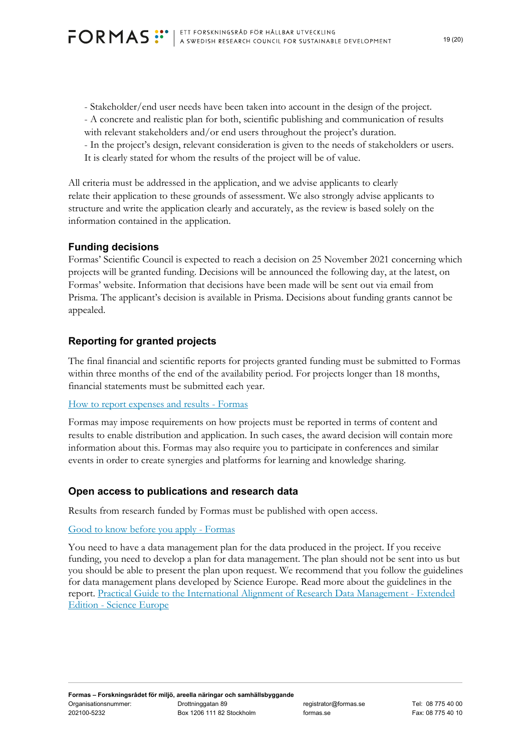- Stakeholder/end user needs have been taken into account in the design of the project. - A concrete and realistic plan for both, scientific publishing and communication of results with relevant stakeholders and/or end users throughout the project's duration. - In the project's design, relevant consideration is given to the needs of stakeholders or users. It is clearly stated for whom the results of the project will be of value.

All criteria must be addressed in the application, and we advise applicants to clearly relate their application to these grounds of assessment. We also strongly advise applicants to structure and write the application clearly and accurately, as the review is based solely on the information contained in the application.

# **Funding decisions**

Formas' Scientific Council is expected to reach a decision on 25 November 2021 concerning which projects will be granted funding. Decisions will be announced the following day, at the latest, on Formas' website. Information that decisions have been made will be sent out via email from Prisma. The applicant's decision is available in Prisma. Decisions about funding grants cannot be appealed.

# **Reporting for granted projects**

The final financial and scientific reports for projects granted funding must be submitted to Formas within three months of the end of the availability period. For projects longer than 18 months, financial statements must be submitted each year.

#### How to report expenses and results - Formas

Formas may impose requirements on how projects must be reported in terms of content and results to enable distribution and application. In such cases, the award decision will contain more information about this. Formas may also require you to participate in conferences and similar events in order to create synergies and platforms for learning and knowledge sharing.

# **Open access to publications and research data**

Results from research funded by Formas must be published with open access.

#### Good to know before you apply - Formas

You need to have a data management plan for the data produced in the project. If you receive funding, you need to develop a plan for data management. The plan should not be sent into us but you should be able to present the plan upon request. We recommend that you follow the guidelines for data management plans developed by Science Europe. Read more about the guidelines in the report. Practical Guide to the International Alignment of Research Data Management - Extended Edition - Science Europe